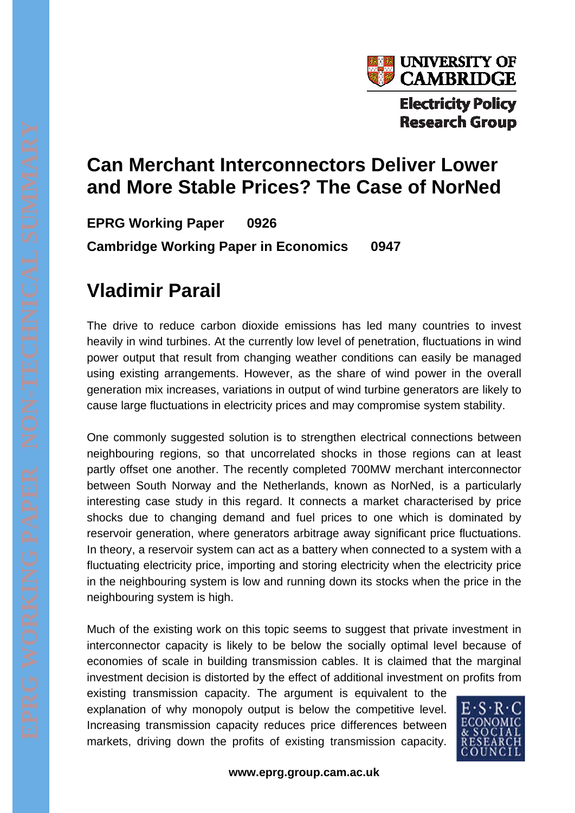

## **Can Merchant Interconnectors Deliver Lower and More Stable Prices? The Case of NorNed**

**EPRG Working Paper 0926 Cambridge Working Paper in Economics 0947** 

## **Vladimir Parail**

The drive to reduce carbon dioxide emissions has led many countries to invest heavily in wind turbines. At the currently low level of penetration, fluctuations in wind power output that result from changing weather conditions can easily be managed using existing arrangements. However, as the share of wind power in the overall generation mix increases, variations in output of wind turbine generators are likely to cause large fluctuations in electricity prices and may compromise system stability.

One commonly suggested solution is to strengthen electrical connections between neighbouring regions, so that uncorrelated shocks in those regions can at least partly offset one another. The recently completed 700MW merchant interconnector between South Norway and the Netherlands, known as NorNed, is a particularly interesting case study in this regard. It connects a market characterised by price shocks due to changing demand and fuel prices to one which is dominated by reservoir generation, where generators arbitrage away significant price fluctuations. In theory, a reservoir system can act as a battery when connected to a system with a fluctuating electricity price, importing and storing electricity when the electricity price in the neighbouring system is low and running down its stocks when the price in the neighbouring system is high.

Much of the existing work on this topic seems to suggest that private investment in interconnector capacity is likely to be below the socially optimal level because of economies of scale in building transmission cables. It is claimed that the marginal investment decision is distorted by the effect of additional investment on profits from

existing transmission capacity. The argument is equivalent to the explanation of why monopoly output is below the competitive level. Increasing transmission capacity reduces price differences between markets, driving down the profits of existing transmission capacity.